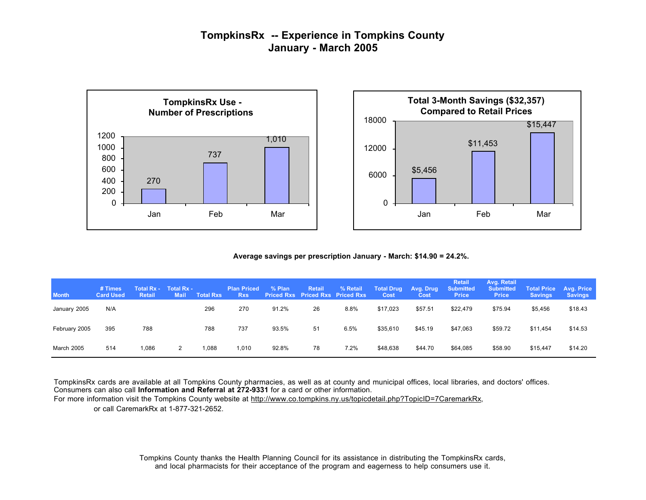## **TompkinsRx -- Experience in Tompkins County January - March 2005**





**Average savings per prescription January - March: \$14.90 = 24.2%.**

| <b>Month</b>  | # Times<br><b>Card Used</b> | <b>Total Rx -</b><br><b>Retail</b> | <b>Total Rx -</b><br>Mail | <b>Total Rxs</b> | <b>Plan Priced</b><br><b>Rxs</b> | $%$ Plan | <b>Retail</b><br><b>Priced Rxs</b> Priced Rxs Priced Rxs | % Retail | <b>Total Drug</b><br>Cost | Avg. Drug<br>Cost | <b>Retail</b><br><b>Submitted</b><br><b>Price</b> | Avg. Retail<br><b>Submitted</b><br><b>Price</b> | <b>Total Price</b><br><b>Savings</b> | <b>Avg. Price</b><br><b>Savings</b> |
|---------------|-----------------------------|------------------------------------|---------------------------|------------------|----------------------------------|----------|----------------------------------------------------------|----------|---------------------------|-------------------|---------------------------------------------------|-------------------------------------------------|--------------------------------------|-------------------------------------|
| January 2005  | N/A                         |                                    |                           | 296              | 270                              | 91.2%    | 26                                                       | 8.8%     | \$17,023                  | \$57.51           | \$22,479                                          | \$75.94                                         | \$5,456                              | \$18.43                             |
| February 2005 | 395                         | 788                                |                           | 788              | 737                              | 93.5%    | 51                                                       | 6.5%     | \$35,610                  | \$45.19           | \$47,063                                          | \$59.72                                         | \$11,454                             | \$14.53                             |
| March 2005    | 514                         | 1.086                              | 2                         | 1,088            | 1,010                            | 92.8%    | 78                                                       | 7.2%     | \$48,638                  | \$44.70           | \$64,085                                          | \$58.90                                         | \$15,447                             | \$14.20                             |

TompkinsRx cards are available at all Tompkins County pharmacies, as well as at county and municipal offices, local libraries, and doctors' offices. Consumers can also call **Information and Referral at 272-9331** for a card or other information.

For more information visit the Tompkins County website at http://www.co.tompkins.ny.us/topicdetail.php?TopicID=7CaremarkRx, or call CaremarkRx at 1-877-321-2652.

> Tompkins County thanks the Health Planning Council for its assistance in distributing the TompkinsRx cards, and local pharmacists for their acceptance of the program and eagerness to help consumers use it.